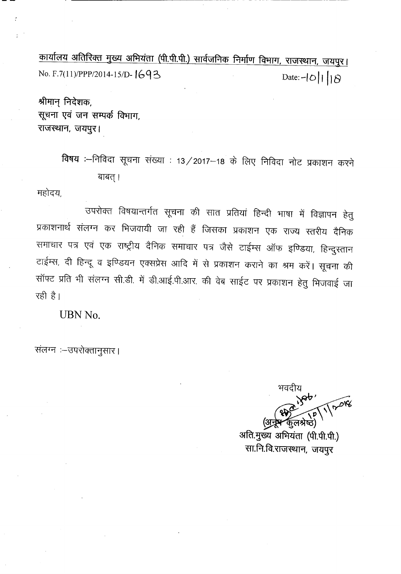<u>कार्यालय अतिरिक्त मुख्य अभियंता (पी.पी.पी.) सार्वजनिक निर्माण विभाग, राजस्थान, जयपुर।</u> *No. F.7(11)/PPP/2014-15/D-*  $1693$  Date:- $|0|1|8$ 

श्रीमान् निदेशक, सूचना एवं जन सम्पर्क विभाग, राजस्थान, जयपुर।

> विषय :--निविदा सूचना संख्या : 13 / 2017-18 के लिए निविदा नोट प्रकाशन करने बाबत् ।

महोदय,

उपरोक्त विषयान्तर्गत सूचना की सात प्रतियां हिन्दी भाषा में विज्ञापन हेतु प्रकाशनार्थ संलग्न कर भिजवायी जा रही हैं जिसका प्रकाशन एक राज्य स्तरीय दैनिक समाचार पत्र एवं एक राष्ट्रीय दैनिक समाचार पत्र जैसे टाईम्स ऑफ इण्डिया, हिन्दुस्तान टाईम्स, दी हिन्दू व इण्डियन एक्सप्रेस आदि में से प्रकाशन कराने का श्रम करें। सूचना की सॉफ्ट प्रति भी संलग्न सी.डी. में डी.आई.पी.आर. की वेब साईट पर प्रकाशन हेतु भिजवाई जा रही है।

UBN No.

संलग्न :- उपरोक्तानुसार।

भवदीय 1/2018 (अ**नूष-**कुलश्रे

ञाता.नुख्य आनयता (पा.पा.पा.) -सा.नि.वि.राजस्थान, जयपुर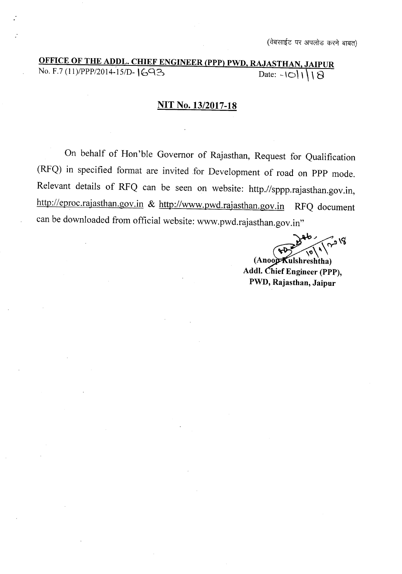# OFFICE OF THE ADDL. CHIEF ENGINEER (PPP) PWD, RAJASTHAN, JAIPUR No. F.7 (11)/PPP/2014-15/D-  $\begin{array}{|c|c|c|c|c|c|c|c|c|}\n\hline\n\text{Date:} & -\text{18.13.3} & \text{0.0000} & \text{0.0000} & \text{0.0000} & \text{0.0000} \\
\hline\n\end{array}$

### **NIT** No. 13/2017-18

On behalf of Hon'ble Governor of Rajasthan, Request for Qualification (RFQ) in specified format are invited for Development of road on PPP mode. Relevant details of RFQ can be seen on website: http.//sppp.rajasthan.gov.in, http://eproc.rajasthan.gov.in & http://www.pwd.rajasthan.gov.in RFQ document can be downloaded from official website: www.pwd.rajasthan.gov.in"

 $_{\bullet}^{\prime}$ لا و $^{\prime}$  $\sqrt{2\pi}$ 

(Anoo**p K**ulshreshtha) Addl. Chief Engineer (PPP), PWD, Rajasthan, Jaipur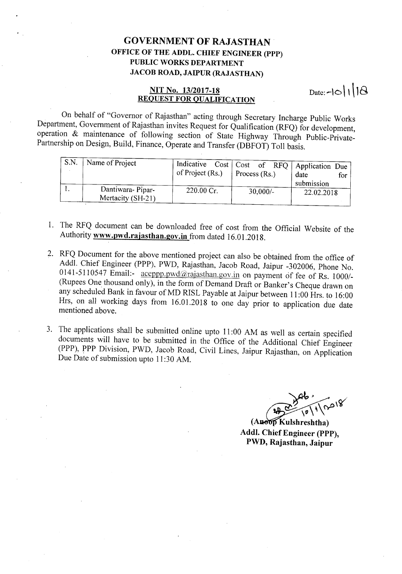## **GOVERNMENT OF RAJASTHAN OFFICE OF THE ADDL. CHIEF ENGINEER (PPP) PUBLIC WORKS DEPARTMENT JACOB ROAD, JAIPUR (RAJASTHAN)**

#### **NIT No. 13/2017-18 REQUEST FOR QUALIFICATION** Date:- $\log |1|$

On behalf of "Governor of Rajasthan" acting through Secretary Incharge Public Works Department, Government of Rajasthan invites Request for Qualification (RFQ) for development, operation & maintenance of following section of State Highway Through Public-Private-Partnership on Design, Build, Finance, Operate and Transfer (DBFOT) Toll basis.

| S.N. | Name of Project                       | of Project (Rs.) | Indicative Cost   Cost of RFQ   Application Due<br>Process $(Rs.)$ | date<br>for<br>submission |
|------|---------------------------------------|------------------|--------------------------------------------------------------------|---------------------------|
|      | Dantiwara-Pipar-<br>Mertacity (SH-21) | 220.00 Cr.       | $30,000/-$                                                         | 22.02.2018                |

- 1. The RFQ document can be downloaded free of cost from the Official Website of the Authority **www.pwd.rajasthan.gov.in** from dated 16.01.2018.
- 2. RFQ Document for the above mentioned project can also be obtained from the office of Addl. Chief Engineer (PPP), PWD, Rajasthan, Jacob Road, Jaipur -302006, Phone No. 0141-5110547 Email:-  $\frac{accept}{\text{new}}$  and  $\frac{arajast}{\text{num}}$  on payment of fee of Rs. 1000/-(Rupees One thousand only), in the form of Demand Draft or Banker's Cheque drawn on any scheduled Bank in favour of MD RISL Payable at Jaipur between 11:00 Hrs. to 16:00 Hrs, on all working days from 16.01.2018 to one day prior to application due date mentioned above.
- 3. The applications shall be submitted online upto 11:00 AM as well as certain specified documents will have to be submitted in the Office of the Additional Chief Engineer (PPP), **PPP** Division, PWD, Jacob Road, Civil Lines, Jaipur Rajasthan, on Application Due Date of submission upto 11:30 AM.

**(A Kulshreshtha) Addl. Chief Engineer (PPP), PWD, Rajasthan, Jaipur**